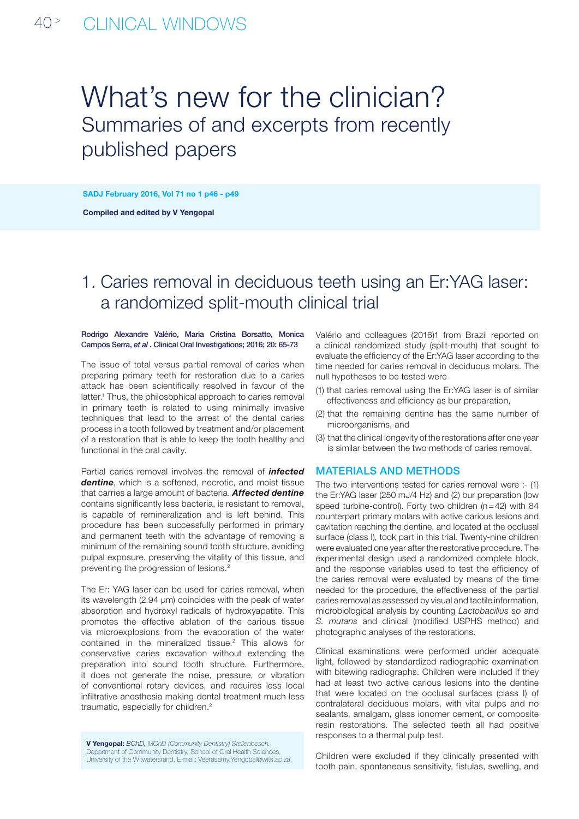# What's new for the clinician? Summaries of and excerpts from recently published papers

SADJ February 2016, Vol 71 no 1 p46 - p49

Compiled and edited by V Yengopal

## 1. Caries removal in deciduous teeth using an Er:YAG laser: a randomized split-mouth clinical trial

### Rodrigo Alexandre Valério, Maria Cristina Borsatto, Monica Campos Serra, *et al* . Clinical Oral Investigations; 2016; 20: 65-73

The issue of total versus partial removal of caries when preparing primary teeth for restoration due to a caries attack has been scientifically resolved in favour of the latter.<sup>1</sup> Thus, the philosophical approach to caries removal in primary teeth is related to using minimally invasive techniques that lead to the arrest of the dental caries process in a tooth followed by treatment and/or placement of a restoration that is able to keep the tooth healthy and functional in the oral cavity.

Partial caries removal involves the removal of *infected dentine*, which is a softened, necrotic, and moist tissue that carries a large amount of bacteria. *Affected dentine* contains significantly less bacteria, is resistant to removal, is capable of remineralization and is left behind. This procedure has been successfully performed in primary and permanent teeth with the advantage of removing a minimum of the remaining sound tooth structure, avoiding pulpal exposure, preserving the vitality of this tissue, and preventing the progression of lesions.2

The Er: YAG laser can be used for caries removal, when its wavelength (2.94 μm) coincides with the peak of water absorption and hydroxyl radicals of hydroxyapatite. This promotes the effective ablation of the carious tissue via microexplosions from the evaporation of the water contained in the mineralized tissue.<sup>2</sup> This allows for conservative caries excavation without extending the preparation into sound tooth structure. Furthermore, it does not generate the noise, pressure, or vibration of conventional rotary devices, and requires less local infiltrative anesthesia making dental treatment much less traumatic, especially for children.<sup>2</sup>

V Yengopal: *BChD, MChD (Community Dentistry) Stellenbosch.* Department of Community Dentistry, School of Oral Health Sciences, University of the Witwatersrand. E-mail: Veerasamy.Yengopal@wits.ac.za. Valério and colleagues (2016)1 from Brazil reported on a clinical randomized study (split-mouth) that sought to evaluate the efficiency of the Er:YAG laser according to the time needed for caries removal in deciduous molars. The null hypotheses to be tested were

- (1) that caries removal using the Er:YAG laser is of similar effectiveness and efficiency as bur preparation,
- (2) that the remaining dentine has the same number of microorganisms, and
- (3) that the clinical longevity of the restorations after one year is similar between the two methods of caries removal.

### Materials and methods

The two interventions tested for caries removal were :- (1) the Er:YAG laser (250 mJ/4 Hz) and (2) bur preparation (low speed turbine-control). Forty two children (n=42) with 84 counterpart primary molars with active carious lesions and cavitation reaching the dentine, and located at the occlusal surface (class I), took part in this trial. Twenty-nine children were evaluated one year after the restorative procedure. The experimental design used a randomized complete block, and the response variables used to test the efficiency of the caries removal were evaluated by means of the time needed for the procedure, the effectiveness of the partial caries removal as assessed by visual and tactile information, microbiological analysis by counting *Lactobacillus sp* and *S. mutans* and clinical (modified USPHS method) and photographic analyses of the restorations.

Clinical examinations were performed under adequate light, followed by standardized radiographic examination with bitewing radiographs. Children were included if they had at least two active carious lesions into the dentine that were located on the occlusal surfaces (class I) of contralateral deciduous molars, with vital pulps and no sealants, amalgam, glass ionomer cement, or composite resin restorations. The selected teeth all had positive responses to a thermal pulp test.

Children were excluded if they clinically presented with tooth pain, spontaneous sensitivity, fistulas, swelling, and